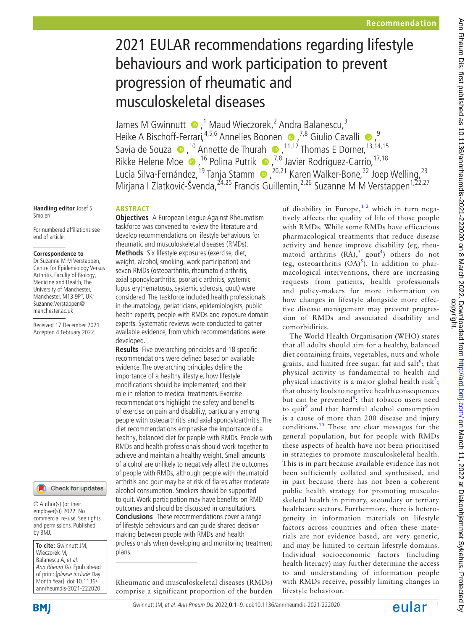# 2021 EULAR recommendations regarding lifestyle behaviours and work participation to prevent progression of rheumatic and musculoskeletal diseases

JamesM Gwinnutt  $\bullet$ ,<sup>1</sup> Maud Wieczorek,<sup>2</sup> Andra Balanescu,<sup>3</sup> Heike A Bischoff-Ferrari,<sup>4,5,6</sup> Annelies Boonen  $\bullet$ ,<sup>7,8</sup> Giulio Cavalli  $\bullet$ ,<sup>9</sup> Saviade Souza  $\bullet$ ,<sup>10</sup> Annette de Thurah  $\bullet$ ,<sup>11,12</sup> Thomas E Dorner,<sup>13,14,15</sup> RikkeHelene Moe (D, <sup>16</sup> Polina Putrik (D, <sup>7,8</sup> Javier Rodríguez-Carrio, <sup>17, 18</sup> LucíaSilva-Fernández,<sup>19</sup> Tanja Stamm (D, <sup>20,21</sup> Karen Walker-Bone, 22 Joep Welling, 23 Mirjana I Zlatković-Švenda,<sup>24,25</sup> Francis Guillemin,<sup>2,26</sup> Suzanne M M Verstappen<sup>1,22,27</sup>

#### **Handling editor** Josef S Smolen

For numbered affiliations see end of article.

#### **Correspondence to**

Dr Suzanne M M Verstappen, Centre for Epidemiology Versus Arthritis, Faculty of Biology, Medicine and Health, The University of Manchester, Manchester, M13 9PT, UK; Suzanne.Verstappen@ manchester.ac.uk

Received 17 December 2021 Accepted 4 February 2022

# Check for updates

© Author(s) (or their employer(s)) 2022. No commercial re-use. See rights and permissions. Published by BMJ.

**To cite:** Gwinnutt JM, Wieczorek M, Balanescu A, et al. Ann Rheum Dis Epub ahead of print: [please include Day Month Year]. doi:10.1136/ annrheumdis-2021-222020

plans.

# **ABSTRACT**

**Objectives** A European League Against Rheumatism taskforce was convened to review the literature and develop recommendations on lifestyle behaviours for rheumatic and musculoskeletal diseases (RMDs). **Methods** Six lifestyle exposures (exercise, diet, weight, alcohol, smoking, work participation) and seven RMDs (osteoarthritis, rheumatoid arthritis, axial spondyloarthritis, psoriatic arthritis, systemic lupus erythematosus, systemic sclerosis, gout) were considered. The taskforce included health professionals in rheumatology, geriatricians, epidemiologists, public health experts, people with RMDs and exposure domain experts. Systematic reviews were conducted to gather available evidence, from which recommendations were developed.

**Results** Five overarching principles and 18 specific recommendations were defined based on available evidence. The overarching principles define the importance of a healthy lifestyle, how lifestyle modifications should be implemented, and their role in relation to medical treatments. Exercise recommendations highlight the safety and benefits of exercise on pain and disability, particularly among people with osteoarthritis and axial spondyloarthritis. The diet recommendations emphasise the importance of a healthy, balanced diet for people with RMDs. People with RMDs and health professionals should work together to achieve and maintain a healthy weight. Small amounts of alcohol are unlikely to negatively affect the outcomes of people with RMDs, although people with rheumatoid arthritis and gout may be at risk of flares after moderate alcohol consumption. Smokers should be supported to quit. Work participation may have benefits on RMD outcomes and should be discussed in consultations. **Conclusions** These recommendations cover a range of lifestyle behaviours and can guide shared decision making between people with RMDs and health

Rheumatic and musculoskeletal diseases (RMDs)

comprise a significant proportion of the burden

professionals when developing and monitoring treatment

of disability in Europe,<sup>12</sup> which in turn negatively affects the quality of life of those people with RMDs. While some RMDs have efficacious pharmacological treatments that reduce disease activity and hence improve disability (eg, rheumatoid arthritis  $(RA)$ ,<sup>[3](#page-6-1)</sup> gout<sup>[4](#page-6-2)</sup>) others do not (eg, osteoarthritis  $(OA)^5$  $(OA)^5$ ). In addition to pharmacological interventions, there are increasing requests from patients, health professionals and policy-makers for more information on how changes in lifestyle alongside more effective disease management may prevent progression of RMDs and associated disability and comorbidities.

The World Health Organisation (WHO) states that all adults should aim for a healthy, balanced diet containing fruits, vegetables, nuts and whole grains, and limited free sugar, fat and salt<sup>[6](#page-6-4)</sup>; that physical activity is fundamental to health and physical inactivity is a major global health risk<sup>[7](#page-6-5)</sup>; that obesity leads to negative health consequences but can be prevented<sup>[8](#page-6-6)</sup>; that tobacco users need to quit $9$  and that harmful alcohol consumption is a cause of more than 200 disease and injury conditions.[10](#page-6-8) These are clear messages for the general population, but for people with RMDs these aspects of health have not been prioritised in strategies to promote musculoskeletal health. This is in part because available evidence has not been sufficiently collated and synthesised, and in part because there has not been a coherent public health strategy for promoting musculoskeletal health in primary, secondary or tertiary healthcare sectors. Furthermore, there is heterogeneity in information materials on lifestyle factors across countries and often these materials are not evidence based, are very generic, and may be limited to certain lifestyle domains. Individual socioeconomic factors (including health literacy) may further determine the access to and understanding of information people with RMDs receive, possibly limiting changes in lifestyle behaviour.

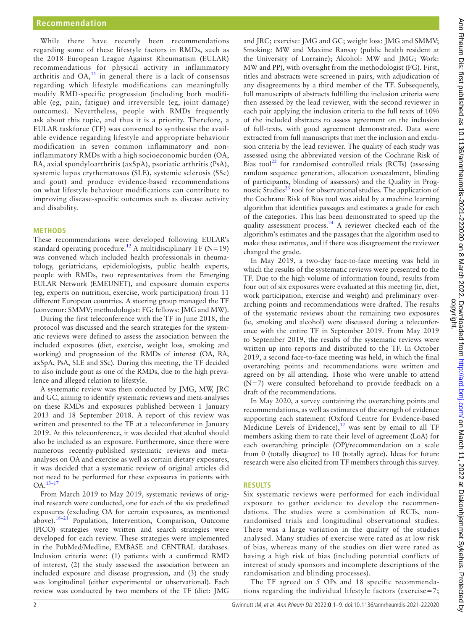While there have recently been recommendations regarding some of these lifestyle factors in RMDs, such as the 2018 European League Against Rheumatism (EULAR) recommendations for physical activity in inflammatory arthritis and  $OA<sub>11</sub><sup>11</sup>$  $OA<sub>11</sub><sup>11</sup>$  $OA<sub>11</sub><sup>11</sup>$  in general there is a lack of consensus regarding which lifestyle modifications can meaningfully modify RMD-specific progression (including both modifiable (eg, pain, fatigue) and irreversible (eg, joint damage) outcomes). Nevertheless, people with RMDs frequently ask about this topic, and thus it is a priority. Therefore, a EULAR taskforce (TF) was convened to synthesise the available evidence regarding lifestyle and appropriate behaviour modification in seven common inflammatory and noninflammatory RMDs with a high socioeconomic burden (OA, RA, axial spondyloarthritis (axSpA), psoriatic arthritis (PsA), systemic lupus erythematosus (SLE), systemic sclerosis (SSc) and gout) and produce evidence-based recommendations on what lifestyle behaviour modifications can contribute to improving disease-specific outcomes such as disease activity and disability.

#### **METHODS**

These recommendations were developed following EULAR's standard operating procedure.<sup>12</sup> A multidisciplinary TF (N=19) was convened which included health professionals in rheumatology, geriatricians, epidemiologists, public health experts, people with RMDs, two representatives from the Emerging EULAR Network (EMEUNET), and exposure domain experts (eg, experts on nutrition, exercise, work participation) from 11 different European countries. A steering group managed the TF (convenor: SMMV; methodologist: FG; fellows: JMG and MW).

During the first teleconference with the TF in June 2018, the protocol was discussed and the search strategies for the systematic reviews were defined to assess the association between the included exposures (diet, exercise, weight loss, smoking and working) and progression of the RMDs of interest (OA, RA, axSpA, PsA, SLE and SSc). During this meeting, the TF decided to also include gout as one of the RMDs, due to the high prevalence and alleged relation to lifestyle.

A systematic review was then conducted by JMG, MW, JRC and GC, aiming to identify systematic reviews and meta-analyses on these RMDs and exposures published between 1 January 2013 and 18 September 2018. A report of this review was written and presented to the TF at a teleconference in January 2019. At this teleconference, it was decided that alcohol should also be included as an exposure. Furthermore, since there were numerous recently-published systematic reviews and metaanalyses on OA and exercise as well as certain dietary exposures, it was decided that a systematic review of original articles did not need to be performed for these exposures in patients with  $OA.$ <sup>[13–17](#page-7-2)</sup>

From March 2019 to May 2019, systematic reviews of original research were conducted, one for each of the six predefined exposures (excluding OA for certain exposures, as mentioned above).<sup>18–21</sup> Population, Intervention, Comparison, Outcome (PICO) strategies were written and search strategies were developed for each review. These strategies were implemented in the PubMed/Medline, EMBASE and CENTRAL databases. Inclusion criteria were: (1) patients with a confirmed RMD of interest, (2) the study assessed the association between an included exposure and disease progression, and (3) the study was longitudinal (either experimental or observational). Each review was conducted by two members of the TF (diet: JMG

and JRC; exercise: JMG and GC; weight loss: JMG and SMMV; Smoking: MW and Maxime Ransay (public health resident at the University of Lorraine); Alcohol: MW and JMG; Work: MW and PP), with oversight from the methodologist (FG). First, titles and abstracts were screened in pairs, with adjudication of any disagreements by a third member of the TF. Subsequently, full manuscripts of abstracts fulfilling the inclusion criteria were then assessed by the lead reviewer, with the second reviewer in each pair applying the inclusion criteria to the full texts of 10% of the included abstracts to assess agreement on the inclusion of full-texts, with good agreement demonstrated. Data were extracted from full manuscripts that met the inclusion and exclusion criteria by the lead reviewer. The quality of each study was assessed using the abbreviated version of the Cochrane Risk of Bias tool<sup>22</sup> for randomised controlled trials (RCTs) (assessing random sequence generation, allocation concealment, blinding of participants, blinding of assessors) and the Quality in Prognostic Studies $^{23}$  tool for observational studies. The application of the Cochrane Risk of Bias tool was aided by a machine learning algorithm that identifies passages and estimates a grade for each of the categories. This has been demonstrated to speed up the quality assessment process.<sup>[24](#page-7-6)</sup> A reviewer checked each of the algorithm's estimates and the passages that the algorithm used to make these estimates, and if there was disagreement the reviewer changed the grade.

In May 2019, a two-day face-to-face meeting was held in which the results of the systematic reviews were presented to the TF. Due to the high volume of information found, results from four out of six exposures were evaluated at this meeting (ie, diet, work participation, exercise and weight) and preliminary overarching points and recommendations were drafted. The results of the systematic reviews about the remaining two exposures (ie, smoking and alcohol) were discussed during a teleconference with the entire TF in September 2019. From May 2019 to September 2019, the results of the systematic reviews were written up into reports and distributed to the TF. In October 2019, a second face-to-face meeting was held, in which the final overarching points and recommendations were written and agreed on by all attending. Those who were unable to attend (N=7) were consulted beforehand to provide feedback on a draft of the recommendations.

In May 2020, a survey containing the overarching points and recommendations, as well as estimates of the strength of evidence supporting each statement (Oxford Centre for Evidence-based Medicine Levels of Evidence), $12$  was sent by email to all TF members asking them to rate their level of agreement (LoA) for each overarching principle (OP)/recommendation on a scale from 0 (totally disagree) to 10 (totally agree). Ideas for future research were also elicited from TF members through this survey.

#### **RESULTS**

Six systematic reviews were performed for each individual exposure to gather evidence to develop the recommendations. The studies were a combination of RCTs, nonrandomised trials and longitudinal observational studies. There was a large variation in the quality of the studies analysed. Many studies of exercise were rated as at low risk of bias, whereas many of the studies on diet were rated as having a high risk of bias (including potential conflicts of interest of study sponsors and incomplete descriptions of the randomisation and blinding processes).

The TF agreed on 5 OPs and 18 specific recommendations regarding the individual lifestyle factors (exercise=7;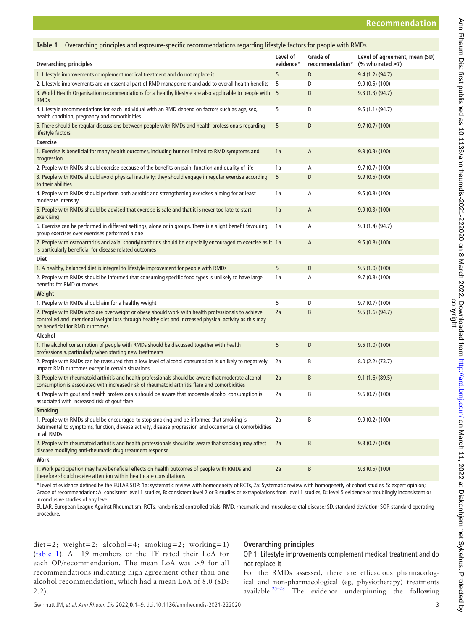<span id="page-2-0"></span>

| Overarching principles and exposure-specific recommendations regarding lifestyle factors for people with RMDs<br>Table 1                                                                                                                      |                       |                             |                                                         |
|-----------------------------------------------------------------------------------------------------------------------------------------------------------------------------------------------------------------------------------------------|-----------------------|-----------------------------|---------------------------------------------------------|
| Overarching principles                                                                                                                                                                                                                        | Level of<br>evidence* | Grade of<br>recommendation* | Level of agreement, mean (SD)<br>(% who rated $\geq$ 7) |
| 1. Lifestyle improvements complement medical treatment and do not replace it                                                                                                                                                                  | 5                     | D                           | 9.4 (1.2) (94.7)                                        |
| 2. Lifestyle improvements are an essential part of RMD management and add to overall health benefits                                                                                                                                          | 5                     | D                           | 9.9(0.5)(100)                                           |
| 3. World Health Organisation recommendations for a healthy lifestyle are also applicable to people with 5<br><b>RMDs</b>                                                                                                                      |                       | D                           | 9.3(1.3)(94.7)                                          |
| 4. Lifestyle recommendations for each individual with an RMD depend on factors such as age, sex,<br>health condition, pregnancy and comorbidities                                                                                             | 5                     | D                           | 9.5 (1.1) (94.7)                                        |
| 5. There should be regular discussions between people with RMDs and health professionals regarding<br>lifestyle factors                                                                                                                       | 5                     | D                           | 9.7(0.7)(100)                                           |
| <b>Exercise</b>                                                                                                                                                                                                                               |                       |                             |                                                         |
| 1. Exercise is beneficial for many health outcomes, including but not limited to RMD symptoms and<br>progression                                                                                                                              | 1a                    | A                           | 9.9(0.3)(100)                                           |
| 2. People with RMDs should exercise because of the benefits on pain, function and quality of life                                                                                                                                             | 1a                    | Α                           | 9.7(0.7)(100)                                           |
| 3. People with RMDs should avoid physical inactivity; they should engage in regular exercise according<br>to their abilities                                                                                                                  | 5                     | D                           | 9.9(0.5)(100)                                           |
| 4. People with RMDs should perform both aerobic and strengthening exercises aiming for at least<br>moderate intensity                                                                                                                         | 1a                    | Α                           | 9.5(0.8)(100)                                           |
| 5. People with RMDs should be advised that exercise is safe and that it is never too late to start<br>exercising                                                                                                                              | 1a                    | A                           | 9.9(0.3)(100)                                           |
| 6. Exercise can be performed in different settings, alone or in groups. There is a slight benefit favouring<br>group exercises over exercises performed alone                                                                                 | 1a                    | Α                           | 9.3(1.4)(94.7)                                          |
| 7. People with osteoarthritis and axial spondyloarthritis should be especially encouraged to exercise as it 1a<br>is particularly beneficial for disease related outcomes                                                                     |                       | A                           | 9.5(0.8)(100)                                           |
| Diet                                                                                                                                                                                                                                          |                       |                             |                                                         |
| 1. A healthy, balanced diet is integral to lifestyle improvement for people with RMDs                                                                                                                                                         | 5                     | D                           | 9.5(1.0)(100)                                           |
| 2. People with RMDs should be informed that consuming specific food types is unlikely to have large<br>benefits for RMD outcomes                                                                                                              | 1a                    | Α                           | 9.7(0.8)(100)                                           |
| Weight                                                                                                                                                                                                                                        |                       |                             |                                                         |
| 1. People with RMDs should aim for a healthy weight                                                                                                                                                                                           | 5                     | D                           | 9.7(0.7)(100)                                           |
| 2. People with RMDs who are overweight or obese should work with health professionals to achieve<br>controlled and intentional weight loss through healthy diet and increased physical activity as this may<br>be beneficial for RMD outcomes | 2a                    | B                           | 9.5(1.6)(94.7)                                          |
| Alcohol                                                                                                                                                                                                                                       |                       |                             |                                                         |
| 1. The alcohol consumption of people with RMDs should be discussed together with health<br>professionals, particularly when starting new treatments                                                                                           | 5                     | D                           | 9.5(1.0)(100)                                           |
| 2. People with RMDs can be reassured that a low level of alcohol consumption is unlikely to negatively<br>impact RMD outcomes except in certain situations                                                                                    | 2a                    | В                           | 8.0(2.2)(73.7)                                          |
| 3. People with rheumatoid arthritis and health professionals should be aware that moderate alcohol<br>consumption is associated with increased risk of rheumatoid arthritis flare and comorbidities                                           | 2a                    | B                           | 9.1(1.6)(89.5)                                          |
| 4. People with gout and health professionals should be aware that moderate alcohol consumption is<br>associated with increased risk of gout flare                                                                                             | 2a                    | В                           | 9.6(0.7)(100)                                           |
| <b>Smoking</b>                                                                                                                                                                                                                                |                       |                             |                                                         |
| 1. People with RMDs should be encouraged to stop smoking and be informed that smoking is<br>detrimental to symptoms, function, disease activity, disease progression and occurrence of comorbidities<br>in all RMDs                           | 2a                    | B                           | 9.9(0.2)(100)                                           |
| 2. People with rheumatoid arthritis and health professionals should be aware that smoking may affect<br>disease modifying anti-rheumatic drug treatment response                                                                              | 2a                    | B                           | 9.8(0.7)(100)                                           |
| Work                                                                                                                                                                                                                                          |                       |                             |                                                         |
| 1. Work participation may have beneficial effects on health outcomes of people with RMDs and<br>therefore should receive attention within healthcare consultations                                                                            | 2a                    | B                           | 9.8(0.5)(100)                                           |
|                                                                                                                                                                                                                                               |                       |                             |                                                         |

\*Level of evidence defined by the EULAR SOP: 1a: systematic review with homogeneity of RCTs, 2a: Systematic review with homogeneity of cohort studies, 5: expert opinion; Grade of recommendation: A: consistent level 1 studies, B: consistent level 2 or 3 studies or extrapolations from level 1 studies, D: level 5 evidence or troublingly inconsistent or inconclusive studies of any level.

EULAR, European League Against Rheumatism; RCTs, randomised controlled trials; RMD, rheumatic and musculoskeletal disease; SD, standard deviation; SOP, standard operating procedure.

 $\text{diet}=2$ ; weight=2; alcohol=4; smoking=2; working=1) ([table](#page-2-0) 1). All 19 members of the TF rated their LoA for each OP/recommendation. The mean LoA was >9 for all recommendations indicating high agreement other than one alcohol recommendation, which had a mean LoA of 8.0 (SD: 2.2).

# **Overarching principles**

OP 1: Lifestyle improvements complement medical treatment and do not replace it

For the RMDs assessed, there are efficacious pharmacological and non-pharmacological (eg, physiotherapy) treatments available. $25-28$  The evidence underpinning the following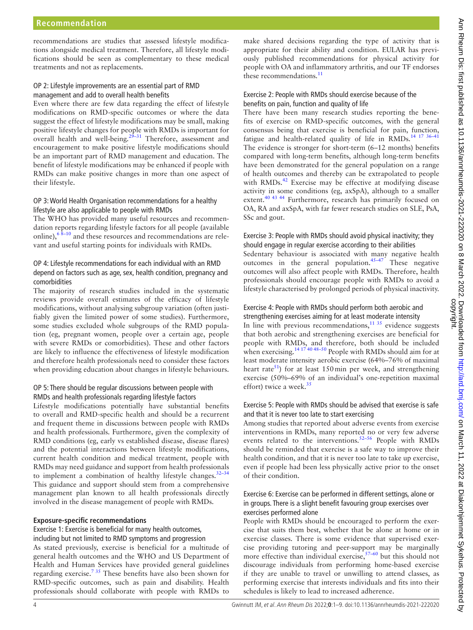recommendations are studies that assessed lifestyle modifications alongside medical treatment. Therefore, all lifestyle modifications should be seen as complementary to these medical treatments and not as replacements.

#### OP 2: Lifestyle improvements are an essential part of RMD management and add to overall health benefits

Even where there are few data regarding the effect of lifestyle modifications on RMD-specific outcomes or where the data suggest the effect of lifestyle modifications may be small, making positive lifestyle changes for people with RMDs is important for overall health and well-being[.29–31](#page-7-8) Therefore, assessment and encouragement to make positive lifestyle modifications should be an important part of RMD management and education. The benefit of lifestyle modifications may be enhanced if people with RMDs can make positive changes in more than one aspect of their lifestyle.

#### OP 3: World Health Organisation recommendations for a healthy lifestyle are also applicable to people with RMDs

The WHO has provided many useful resources and recommendation reports regarding lifestyle factors for all people (available online), $6\frac{8-10}{1}$  and these resources and recommendations are relevant and useful starting points for individuals with RMDs.

# OP 4: Lifestyle recommendations for each individual with an RMD depend on factors such as age, sex, health condition, pregnancy and comorbidities

The majority of research studies included in the systematic reviews provide overall estimates of the efficacy of lifestyle modifications, without analysing subgroup variation (often justifiably given the limited power of some studies). Furthermore, some studies excluded whole subgroups of the RMD population (eg, pregnant women, people over a certain age, people with severe RMDs or comorbidities). These and other factors are likely to influence the effectiveness of lifestyle modification and therefore health professionals need to consider these factors when providing education about changes in lifestyle behaviours.

#### OP 5: There should be regular discussions between people with RMDs and health professionals regarding lifestyle factors

Lifestyle modifications potentially have substantial benefits to overall and RMD-specific health and should be a recurrent and frequent theme in discussions between people with RMDs and health professionals. Furthermore, given the complexity of RMD conditions (eg, early vs established disease, disease flares) and the potential interactions between lifestyle modifications, current health condition and medical treatment, people with RMDs may need guidance and support from health professionals to implement a combination of healthy lifestyle changes.  $32-34$ This guidance and support should stem from a comprehensive management plan known to all health professionals directly involved in the disease management of people with RMDs.

#### **Exposure-specific recommendations**

#### Exercise 1: Exercise is beneficial for many health outcomes, including but not limited to RMD symptoms and progression

As stated previously, exercise is beneficial for a multitude of general health outcomes and the WHO and US Department of Health and Human Services have provided general guidelines regarding exercise.[7 35](#page-6-5) These benefits have also been shown for RMD-specific outcomes, such as pain and disability. Health professionals should collaborate with people with RMDs to

make shared decisions regarding the type of activity that is appropriate for their ability and condition. EULAR has previously published recommendations for physical activity for people with OA and inflammatory arthritis, and our TF endorses these recommendations.<sup>[11](#page-7-0)</sup>

# Exercise 2: People with RMDs should exercise because of the benefits on pain, function and quality of life

There have been many research studies reporting the benefits of exercise on RMD-specific outcomes, with the general consensus being that exercise is beneficial for pain, function, fatigue and health-related quality of life in  $RMDs$ .<sup>14 17 36-41</sup> The evidence is stronger for short-term (6–12 months) benefits compared with long-term benefits, although long-term benefits have been demonstrated for the general population on a range of health outcomes and thereby can be extrapolated to people with RMDs.<sup>[42](#page-7-11)</sup> Exercise may be effective at modifying disease activity in some conditions (eg, axSpA), although to a smaller extent.<sup>40 43 44</sup> Furthermore, research has primarily focused on OA, RA and axSpA, with far fewer research studies on SLE, PsA, SSc and gout.

# Exercise 3: People with RMDs should avoid physical inactivity; they should engage in regular exercise according to their abilities

Sedentary behaviour is associated with many negative health outcomes in the general population. $45-47$  These negative outcomes will also affect people with RMDs. Therefore, health professionals should encourage people with RMDs to avoid a lifestyle characterised by prolonged periods of physical inactivity.

# Exercise 4: People with RMDs should perform both aerobic and

strengthening exercises aiming for at least moderate intensity In line with previous recommendations, $11^{35}$  evidence suggests that both aerobic and strengthening exercises are beneficial for people with RMDs, and therefore, both should be included when exercising.<sup>14 17 40 48-50</sup> People with RMDs should aim for at least moderate intensity aerobic exercise (64%–76% of maximal heart rate<sup>51</sup>) for at least 150 min per week, and strengthening exercise (50%–69% of an individual's one-repetition maximal effort) twice a week. $35$ 

# Exercise 5: People with RMDs should be advised that exercise is safe and that it is never too late to start exercising

Among studies that reported about adverse events from exercise interventions in RMDs, many reported no or very few adverse events related to the interventions.<sup>52-56</sup> People with RMDs should be reminded that exercise is a safe way to improve their health condition, and that it is never too late to take up exercise, even if people had been less physically active prior to the onset of their condition.

#### Exercise 6: Exercise can be performed in different settings, alone or in groups. There is a slight benefit favouring group exercises over exercises performed alone

People with RMDs should be encouraged to perform the exercise that suits them best, whether that be alone at home or in exercise classes. There is some evidence that supervised exercise providing tutoring and peer-support may be marginally more effective than individual exercise,  $57-60$  but this should not discourage individuals from performing home-based exercise if they are unable to travel or unwilling to attend classes, as performing exercise that interests individuals and fits into their schedules is likely to lead to increased adherence.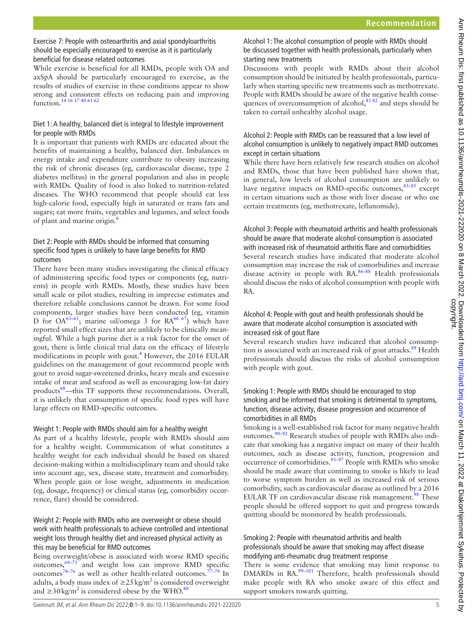# Exercise 7: People with osteoarthritis and axial spondyloarthritis should be especially encouraged to exercise as it is particularly beneficial for disease related outcomes

While exercise is beneficial for all RMDs, people with OA and axSpA should be particularly encouraged to exercise, as the results of studies of exercise in these conditions appear to show strong and consistent effects on reducing pain and improving function.<sup>14 16</sup> <sup>17</sup> 40 61 62

# Diet 1: A healthy, balanced diet is integral to lifestyle improvement for people with RMDs

It is important that patients with RMDs are educated about the benefits of maintaining a healthy, balanced diet. Imbalances in energy intake and expenditure contribute to obesity increasing the risk of chronic diseases (eg, cardiovascular disease, type 2 diabetes mellitus) in the general population and also in people with RMDs. Quality of food is also linked to nutrition-related diseases. The WHO recommend that people should eat less high-calorie food, especially high in saturated or trans fats and sugars; eat more fruits, vegetables and legumes, and select foods of plant and marine origin.<sup>6</sup>

# Diet 2: People with RMDs should be informed that consuming specific food types is unlikely to have large benefits for RMD outcomes

There have been many studies investigating the clinical efficacy of administering specific food types or components (eg, nutrients) in people with RMDs. Mostly, these studies have been small scale or pilot studies, resulting in imprecise estimates and therefore reliable conclusions cannot be drawn. For some food components, larger studies have been conducted (eg, vitamin D for  $OA^{63-65}$ ; marine oil/omega 3 for  $RA^{66-67}$ ) which have reported small effect sizes that are unlikely to be clinically meaningful. While a high purine diet is a risk factor for the onset of gout, there is little clinical trial data on the efficacy of lifestyle modifications in people with gout.<sup>4</sup> However, the 2016 EULAR guidelines on the management of gout recommend people with gout to avoid sugar-sweetened drinks, heavy meals and excessive intake of meat and seafood as well as encouraging low-fat dairy products<sup>[68](#page-8-1)</sup>—this TF supports these recommendations. Overall, it is unlikely that consumption of specific food types will have large effects on RMD-specific outcomes.

#### Weight 1: People with RMDs should aim for a healthy weight

As part of a healthy lifestyle, people with RMDs should aim for a healthy weight. Communication of what constitutes a healthy weight for each individual should be based on shared decision-making within a multidisciplinary team and should take into account age, sex, disease state, treatment and comorbidity. When people gain or lose weight, adjustments in medication (eg, dosage, frequency) or clinical status (eg, comorbidity occurrence, flare) should be considered.

#### Weight 2: People with RMDs who are overweight or obese should work with health professionals to achieve controlled and intentional weight loss through healthy diet and increased physical activity as this may be beneficial for RMD outcomes

Being overweight/obese is associated with worse RMD specific outcomes,[69–73](#page-8-2) and weight loss can improve RMD specific outcomes<sup>[74–76](#page-8-3)</sup> as well as other health-related outcomes.<sup>77–79</sup> In adults, a body mass index of  $\geq$ 25 kg/m<sup>2</sup> is considered overweight and ≥30 kg/m<sup>2</sup> is considered obese by the WHO.<sup>80</sup>

# Alcohol 1: The alcohol consumption of people with RMDs should be discussed together with health professionals, particularly when starting new treatments

Discussions with people with RMDs about their alcohol consumption should be initiated by health professionals, particularly when starting specific new treatments such as methotrexate. People with RMDs should be aware of the negative health consequences of overconsumption of alcohol, $81 82$  and steps should be taken to curtail unhealthy alcohol usage.

#### Alcohol 2: People with RMDs can be reassured that a low level of alcohol consumption is unlikely to negatively impact RMD outcomes except in certain situations

While there have been relatively few research studies on alcohol and RMDs, those that have been published have shown that, in general, low levels of alcohol consumption are unlikely to have negative impacts on RMD-specific outcomes,<sup>[83–85](#page-8-7)</sup> except in certain situations such as those with liver disease or who use certain treatments (eg, methotrexate, leflunomide).

Alcohol 3: People with rheumatoid arthritis and health professionals should be aware that moderate alcohol consumption is associated with increased risk of rheumatoid arthritis flare and comorbidities Several research studies have indicated that moderate alcohol consumption may increase the risk of comorbidities and increase disease activity in people with RA.<sup>86-88</sup> Health professionals should discuss the risks of alcohol consumption with people with RA.

# Alcohol 4: People with gout and health professionals should be aware that moderate alcohol consumption is associated with increased risk of gout flare

Several research studies have indicated that alcohol consumption is associated with an increased risk of gout attacks.<sup>89</sup> Health professionals should discuss the risks of alcohol consumption with people with gout.

#### Smoking 1: People with RMDs should be encouraged to stop smoking and be informed that smoking is detrimental to symptoms, function, disease activity, disease progression and occurrence of comorbidities in all RMDs

Smoking is a well-established risk factor for many negative health outcomes.[90–92](#page-8-10) Research studies of people with RMDs also indicate that smoking has a negative impact on many of their health outcomes, such as disease activity, function, progression and occurrence of comorbidities.<sup>93–97</sup> People with RMDs who smoke should be made aware that continuing to smoke is likely to lead to worse symptom burden as well as increased risk of serious comorbidity, such as cardiovascular disease as outlined by a 2016 EULAR TF on cardiovascular disease risk management.<sup>98</sup> These people should be offered support to quit and progress towards quitting should be monitored by health professionals.

#### Smoking 2: People with rheumatoid arthritis and health professionals should be aware that smoking may affect disease modifying anti-rheumatic drug treatment response

There is some evidence that smoking may limit response to DMARDs in RA.<sup>99-101</sup> Therefore, health professionals should make people with RA who smoke aware of this effect and support smokers towards quitting.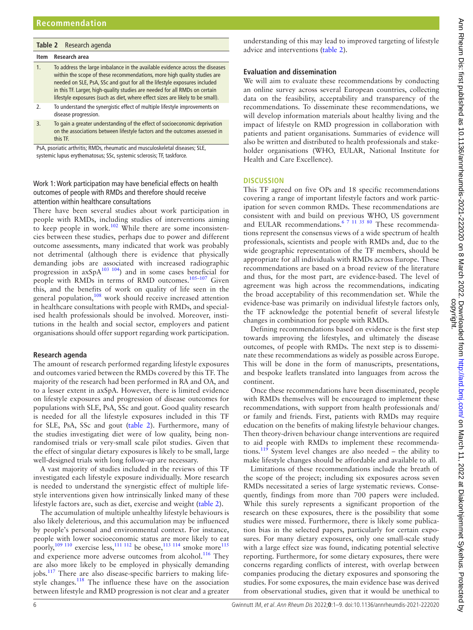#### <span id="page-5-0"></span>**Table 2** Research agenda

#### **Item Research area**

- 1. To address the large imbalance in the available evidence across the diseases within the scope of these recommendations, more high quality studies are needed on SLE, PsA, SSc and gout for all the lifestyle exposures included in this TF. Larger, high-quality studies are needed for all RMDs on certain lifestyle exposures (such as diet, where effect sizes are likely to be small). 2. To understand the synergistic effect of multiple lifestyle improvements on
- disease progression.
- 3. To gain a greater understanding of the effect of socioeconomic deprivation on the associations between lifestyle factors and the outcomes assessed in this TF.

PsA, psoriatic arthritis; RMDs, rheumatic and musculoskeletal diseases; SLE, systemic lupus erythematosus; SSc, systemic sclerosis; TF, taskforce.

#### Work 1: Work participation may have beneficial effects on health outcomes of people with RMDs and therefore should receive attention within healthcare consultations

There have been several studies about work participation in people with RMDs, including studies of interventions aiming to keep people in work.<sup>102</sup> While there are some inconsistencies between these studies, perhaps due to power and different outcome assessments, many indicated that work was probably not detrimental (although there is evidence that physically demanding jobs are associated with increased radiographic progression in  $axSpA^{103}$  104) and in some cases beneficial for people with RMDs in terms of RMD outcomes.<sup>105-107</sup> Given this, and the benefits of work on quality of life seen in the general population,<sup>108</sup> work should receive increased attention in healthcare consultations with people with RMDs, and specialised health professionals should be involved. Moreover, institutions in the health and social sector, employers and patient organisations should offer support regarding work participation.

#### **Research agenda**

The amount of research performed regarding lifestyle exposures and outcomes varied between the RMDs covered by this TF. The majority of the research had been performed in RA and OA, and to a lesser extent in axSpA. However, there is limited evidence on lifestyle exposures and progression of disease outcomes for populations with SLE, PsA, SSc and gout. Good quality research is needed for all the lifestyle exposures included in this TF for SLE, PsA, SSc and gout ([table](#page-5-0) 2). Furthermore, many of the studies investigating diet were of low quality, being nonrandomised trials or very-small scale pilot studies. Given that the effect of singular dietary exposures is likely to be small, large well-designed trials with long follow-up are necessary.

A vast majority of studies included in the reviews of this TF investigated each lifestyle exposure individually. More research is needed to understand the synergistic effect of multiple lifestyle interventions given how intrinsically linked many of these lifestyle factors are, such as diet, exercise and weight [\(table](#page-5-0) 2).

The accumulation of multiple unhealthy lifestyle behaviours is also likely deleterious, and this accumulation may be influenced by people's personal and environmental context. For instance, people with lower socioeconomic status are more likely to eat poorly,<sup>109 110</sup> exercise less,<sup>111 112</sup> be obese,<sup>113 114</sup> smoke more<sup>[115](#page-8-21)</sup> and experience more adverse outcomes from alcohol. $116$  They are also more likely to be employed in physically demanding jobs.<sup>117</sup> There are also disease-specific barriers to making life-style changes.<sup>[118](#page-8-24)</sup> The influence these have on the association between lifestyle and RMD progression is not clear and a greater

understanding of this may lead to improved targeting of lifestyle advice and interventions [\(table](#page-5-0) 2).

# **Evaluation and dissemination**

We will aim to evaluate these recommendations by conducting an online survey across several European countries, collecting data on the feasibility, acceptability and transparency of the recommendations. To disseminate these recommendations, we will develop information materials about healthy living and the impact of lifestyle on RMD progression in collaboration with patients and patient organisations. Summaries of evidence will also be written and distributed to health professionals and stakeholder organisations (WHO, EULAR, National Institute for Health and Care Excellence).

#### **DISCUSSION**

This TF agreed on five OPs and 18 specific recommendations covering a range of important lifestyle factors and work participation for seven common RMDs. These recommendations are consistent with and build on previous WHO, US government and EULAR recommendations.<sup>6 7 11 35 80</sup> These recommendations represent the consensus views of a wide spectrum of health professionals, scientists and people with RMDs and, due to the wide geographic representation of the TF members, should be appropriate for all individuals with RMDs across Europe. These recommendations are based on a broad review of the literature and thus, for the most part, are evidence-based. The level of agreement was high across the recommendations, indicating the broad acceptability of this recommendation set. While the evidence-base was primarily on individual lifestyle factors only, the TF acknowledge the potential benefit of several lifestyle changes in combination for people with RMDs.

Defining recommendations based on evidence is the first step towards improving the lifestyles, and ultimately the disease outcomes, of people with RMDs. The next step is to disseminate these recommendations as widely as possible across Europe. This will be done in the form of manuscripts, presentations, and bespoke leaflets translated into languages from across the continent.

Once these recommendations have been disseminated, people with RMDs themselves will be encouraged to implement these recommendations, with support from health professionals and/ or family and friends. First, patients with RMDs may require education on the benefits of making lifestyle behaviour changes. Then theory-driven behaviour change interventions are required to aid people with RMDs to implement these recommendations.<sup>119</sup> System level changes are also needed – the ability to make lifestyle changes should be affordable and available to all.

Limitations of these recommendations include the breath of the scope of the project; including six exposures across seven RMDs necessitated a series of large systematic reviews. Consequently, findings from more than 700 papers were included. While this surely represents a significant proportion of the research on these exposures, there is the possibility that some studies were missed. Furthermore, there is likely some publication bias in the selected papers, particularly for certain exposures. For many dietary exposures, only one small-scale study with a large effect size was found, indicating potential selective reporting. Furthermore, for some dietary exposures, there were concerns regarding conflicts of interest, with overlap between companies producing the dietary exposures and sponsoring the studies. For some exposures, the main evidence base was derived from observational studies, given that it would be unethical to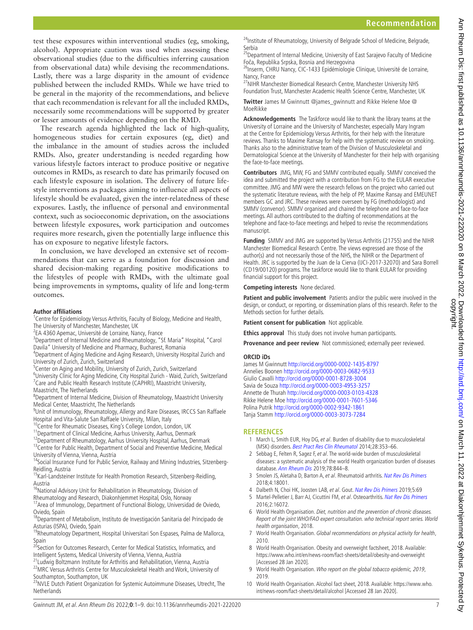test these exposures within interventional studies (eg, smoking, alcohol). Appropriate caution was used when assessing these observational studies (due to the difficulties inferring causation from observational data) while devising the recommendations. Lastly, there was a large disparity in the amount of evidence published between the included RMDs. While we have tried to be general in the majority of the recommendations, and believe that each recommendation is relevant for all the included RMDs, necessarily some recommendations will be supported by greater or lesser amounts of evidence depending on the RMD.

The research agenda highlighted the lack of high-quality, homogeneous studies for certain exposures (eg, diet) and the imbalance in the amount of studies across the included RMDs. Also, greater understanding is needed regarding how various lifestyle factors interact to produce positive or negative outcomes in RMDs, as research to date has primarily focused on each lifestyle exposure in isolation. The delivery of future lifestyle interventions as packages aiming to influence all aspects of lifestyle should be evaluated, given the inter-relatedness of these exposures. Lastly, the influence of personal and environmental context, such as socioeconomic deprivation, on the associations between lifestyle exposures, work participation and outcomes requires more research, given the potentially large influence this has on exposure to negative lifestyle factors.

In conclusion, we have developed an extensive set of recommendations that can serve as a foundation for discussion and shared decision-making regarding positive modifications to the lifestyles of people with RMDs, with the ultimate goal being improvements in symptoms, quality of life and long-term outcomes.

#### **Author affiliations**

- <sup>1</sup> Centre for Epidemiology Versus Arthritis, Faculty of Biology, Medicine and Health, The University of Manchester, Manchester, UK
- <sup>2</sup>EA 4360 Apemac, Université de Lorraine, Nancy, France

<sup>3</sup>Department of Internal Medicine and Rheumatology, "Sf. Maria" Hospital, "Carol Davila" University of Medicine and Pharmacy, Bucharest, Romania

- <sup>4</sup>Department of Aging Medicine and Aging Research, University Hospital Zurich and University of Zurich, Zurich, Switzerland
- <sup>5</sup>Center on Aging and Mobility, University of Zurich, Zurich, Switzerland
- <sup>6</sup>University Clinic for Aging Medicine, City Hospital Zurich Waid, Zurich, Switzerland <sup>7</sup> Care and Public Health Research Institute (CAPHRI), Maastricht University, Maastricht, The Netherlands

8 Department of Internal Medicine, Division of Rheumatology, Maastricht University Medical Center, Maastricht, The Netherlands

<sup>9</sup>Unit of Immunology, Rheumatology, Allergy and Rare Diseases, IRCCS San Raffaele

Hospital and Vita-Salute San Raffaele University, Milan, Italy 10Centre for Rheumatic Diseases, King's College London, London, UK

<sup>11</sup>Department of Clinical Medicine, Aarhus University, Aarhus, Denmark

<sup>12</sup>Department of Rheumatology, Aarhus University Hospital, Aarhus, Denmark <sup>13</sup>Centre for Public Health, Department of Social and Preventive Medicine, Medical University of Vienna, Vienna, Austria

<sup>14</sup>Social Insurance Fund for Public Service, Railway and Mining Industries, Sitzenberg-

Reidling, Austria<br><sup>15</sup>Karl-Landsteiner Institute for Health Promotion Research, Sitzenberg-Reidling, Austria

- <sup>16</sup>National Advisory Unit for Rehabilitation in Rheumatology, Division of
- Rheumatology and Research, Diakonhjemmet Hospital, Oslo, Norway

17Area of Immunology, Department of Functional Biology, Universidad de Oviedo, Oviedo, Spain

<sup>18</sup>Department of Metabolism, Instituto de Investigación Sanitaria del Principado de Asturias (ISPA), Oviedo, Spain

<sup>19</sup>Rheumatology Department, Hospital Universitari Son Espases, Palma de Mallorca, Spain<br><sup>20</sup>Section for Outcomes Research, Center for Medical Statistics, Informatics, and

Intelligent Systems, Medical University of Vienna, Vienna, Austria

<sup>1</sup>Ludwig Boltzmann Institute for Arthritis and Rehabilitation, Vienna, Austria <sup>22</sup>MRC Versus Arthritis Centre for Musculoskeletal Health and Work, University of

Southampton, Southampton, UK<br><sup>23</sup>NVLE Dutch Patient Organization for Systemic Autoimmune Diseases, Utrecht, The Netherlands

<sup>24</sup>Institute of Rheumatology, University of Belgrade School of Medicine, Belgrade, Serbia

<sup>25</sup> Department of Internal Medicine, University of East Sarajevo Faculty of Medicine Foča, Republika Srpska, Bosnia and Herzegovina

<sup>26</sup>Inserm, CHRU Nancy, CIC-1433 Epidémiologie Clinique, Université de Lorraine, Nancy, France<br><sup>27</sup>NIHR Manchester Biomedical Research Centre, Manchester University NHS

Foundation Trust, Manchester Academic Health Science Centre, Manchester, UK

**Twitter** James M Gwinnutt [@james\\_gwinnutt](https://twitter.com/james_gwinnutt) and Rikke Helene Moe [@](https://twitter.com/MoeRikke) [MoeRikke](https://twitter.com/MoeRikke)

**Acknowledgements** The Taskforce would like to thank the library teams at the University of Lorraine and the University of Manchester, especially Mary Ingram at the Centre for Epidemiology Versus Arthritis, for their help with the literature reviews. Thanks to Maxime Ransay for help with the systematic review on smoking. Thanks also to the administrative team of the Division of Musculoskeletal and Dermatological Science at the University of Manchester for their help with organising the face-to-face meetings.

**Contributors** JMG, MW, FG and SMMV contributed equally. SMMV conceived the idea and submitted the project with a contribution from FG to the EULAR executive committee. JMG and MW were the research fellows on the project who carried out the systematic literature reviews, with the help of PP, Maxime Ransay and EMEUNET members GC and JRC. These reviews were overseen by FG (methodologist) and SMMV (convenor). SMMV organised and chaired the telephone and face-to-face meetings. All authors contributed to the drafting of recommendations at the telephone and face-to-face meetings and helped to revise the recommendations manuscript.

**Funding** SMMV and JMG are supported by Versus Arthritis (21755) and the NIHR Manchester Biomedical Research Centre. The views expressed are those of the author(s) and not necessarily those of the NHS, the NIHR or the Department of Health. JRC is supported by the Juan de la Cierva (IJCI-2017-32070) and Sara Borrell (CD19/00120) programs. The taskforce would like to thank EULAR for providing financial support for this project.

**Competing interests** None declared.

**Patient and public involvement** Patients and/or the public were involved in the design, or conduct, or reporting, or dissemination plans of this research. Refer to the Methods section for further details.

**Patient consent for publication** Not applicable.

**Ethics approval** This study does not involve human participants.

**Provenance and peer review** Not commissioned; externally peer reviewed.

#### **ORCID iDs**

James M Gwinnutt<http://orcid.org/0000-0002-1435-8797> Annelies Boonen <http://orcid.org/0000-0003-0682-9533> Giulio Cavalli <http://orcid.org/0000-0001-8728-3004> Savia de Souza<http://orcid.org/0000-0003-4953-3257> Annette de Thurah<http://orcid.org/0000-0003-0103-4328> Rikke Helene Moe<http://orcid.org/0000-0001-7601-5346> Polina Putrik<http://orcid.org/0000-0002-9342-1861> Tanja Stamm <http://orcid.org/0000-0003-3073-7284>

#### **REFERENCES**

- <span id="page-6-0"></span>1 March L, Smith EUR, Hoy DG, et al. Burden of disability due to musculoskeletal (MSK) disorders. [Best Pract Res Clin Rheumatol](http://dx.doi.org/10.1016/j.berh.2014.08.002) 2014;28:353-66.
- 2 Sebbag E, Felten R, Sagez F, et al. The world-wide burden of musculoskeletal diseases: a systematic analysis of the world Health organization burden of diseases database. [Ann Rheum Dis](http://dx.doi.org/10.1136/annrheumdis-2019-215142) 2019;78:844-8.
- <span id="page-6-1"></span>3 Smolen JS, Aletaha D, Barton A, et al. Rheumatoid arthritis. [Nat Rev Dis Primers](http://dx.doi.org/10.1038/nrdp.2018.1) 2018;4:18001.
- <span id="page-6-2"></span>4 Dalbeth N, Choi HK, Joosten LAB, et al. Gout. [Nat Rev Dis Primers](http://dx.doi.org/10.1038/s41572-019-0115-y) 2019;5:69
- <span id="page-6-3"></span>5 Martel-Pelletier J, Barr AJ, Cicuttini FM, et al. Osteoarthritis. [Nat Rev Dis Primers](http://dx.doi.org/10.1038/nrdp.2016.72) 2016;2:16072.
- <span id="page-6-4"></span>6 World Health Organisation. Diet, nutrition and the prevention of chronic diseases. Report of the joint WHO/FAO expert consultation. who technical report series. World health organisation, 2018.
- <span id="page-6-5"></span>7 World Health Organisation. Global recommendations on physical activity for health, 2010.
- <span id="page-6-6"></span>8 World Health Organisation. Obesity and overweight factsheet, 2018. Available: <https://www.who.int/en/news-room/fact-sheets/detail/obesity-and-overweight> [Accessed 28 Jan 2020].
- <span id="page-6-7"></span>9 World Health Organisation. Who report on the global tobacco epidemic, 2019, 2019.
- <span id="page-6-8"></span>10 World Health Organisation. Alcohol fact sheet, 2018. Available: [https://www.who.](https://www.who.int/news-room/fact-sheets/detail/alcohol) [int/news-room/fact-sheets/detail/alcohol](https://www.who.int/news-room/fact-sheets/detail/alcohol) [Accessed 28 Jan 2020].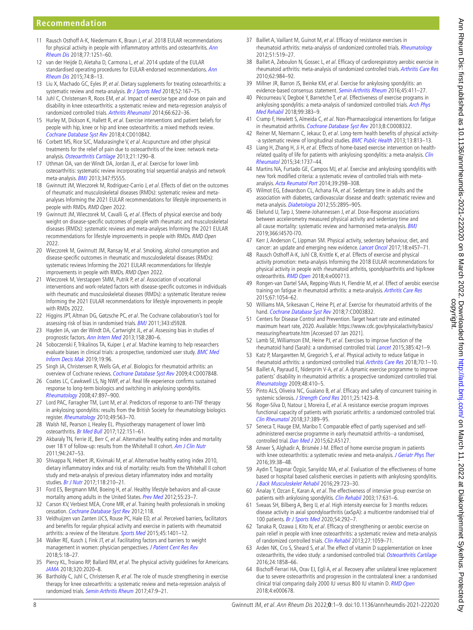#### **Recommendation**

- <span id="page-7-0"></span>11 Rausch Osthoff A-K, Niedermann K, Braun J, et al. 2018 EULAR recommendations for physical activity in people with inflammatory arthritis and osteoarthritis. Ann [Rheum Dis](http://dx.doi.org/10.1136/annrheumdis-2018-213585) 2018;77:1251–60.
- <span id="page-7-1"></span>12 van der Heijde D, Aletaha D, Carmona L, et al. 2014 update of the EULAR standardised operating procedures for EULAR-endorsed recommendations. Ann [Rheum Dis](http://dx.doi.org/10.1136/annrheumdis-2014-206350) 2015;74:8–13.
- <span id="page-7-2"></span>13 Liu X, Machado GC, Eyles JP, et al. Dietary supplements for treating osteoarthritis: a systematic review and meta-analysis. [Br J Sports Med](http://dx.doi.org/10.1136/bjsports-2016-097333) 2018;52:167-75.
- <span id="page-7-10"></span>14 Juhl C, Christensen R, Roos EM, et al. Impact of exercise type and dose on pain and disability in knee osteoarthritis: a systematic review and meta-regression analysis of randomized controlled trials. [Arthritis Rheumatol](http://dx.doi.org/10.1002/art.38290) 2014;66:622–36.
- 15 Hurley M, Dickson K, Hallett R, et al. Exercise interventions and patient beliefs for people with hip, knee or hip and knee osteoarthritis: a mixed methods review. [Cochrane Database Syst Rev](http://dx.doi.org/10.1002/14651858.CD010842.pub2) 2018;4:CD010842.
- 16 Corbett MS, Rice SJC, Madurasinghe V, et al. Acupuncture and other physical treatments for the relief of pain due to osteoarthritis of the knee: network metaanalysis. [Osteoarthritis Cartilage](http://dx.doi.org/10.1016/j.joca.2013.05.007) 2013;21:1290–8.
- 17 Uthman OA, van der Windt DA, Jordan JL, et al. Exercise for lower limb osteoarthritis: systematic review incorporating trial sequential analysis and network meta-analysis. [BMJ](http://dx.doi.org/10.1136/bmj.f5555) 2013;347:f5555.
- <span id="page-7-3"></span>18 Gwinnutt JM, Wieczorek M, Rodríguez-Carrio J, et al. Effects of diet on the outcomes of rheumatic and musculoskeletal diseases (RMDs): systematic review and metaanalyses Informing the 2021 EULAR recommendations for lifestyle improvements in people with RMDs. RMD Open 2022.
- 19 Gwinnutt JM, Wieczorek M, Cavalli G, et al. Effects of physical exercise and body weight on disease-specific outcomes of people with rheumatic and musculoskeletal diseases (RMDs): systematic reviews and meta-analyses Informing the 2021 EULAR recommendations for lifestyle improvements in people with RMDs. RMD Open 2022.
- 20 Wieczorek M, Gwinnutt JM, Ransay M, et al. Smoking, alcohol consumption and disease-specific outcomes in rheumatic and musculoskeletal diseases (RMDs): systematic reviews Informing the 2021 EULAR recommendations for lifestyle improvements in people with RMDs. RMD Open 2022.
- 21 Wieczorek M, Verstappen SMM, Putrik P, et al. Association of vocational interventions and work-related factors with disease-specific outcomes in individuals with rheumatic and musculoskeletal diseases (RMDs): a systematic literature review Informing the 2021 EULAR recommendations for lifestyle improvements in people with RMDs 2022.
- <span id="page-7-4"></span>22 Higgins JPT, Altman DG, Gøtzsche PC, et al. The Cochrane collaboration's tool for assessing risk of bias in randomised trials. **[BMJ](http://dx.doi.org/10.1136/bmj.d5928)** 2011;343:d5928.
- <span id="page-7-5"></span>23 Hayden JA, van der Windt DA, Cartwright JL, et al. Assessing bias in studies of prognostic factors. [Ann Intern Med](http://dx.doi.org/10.7326/0003-4819-158-4-201302190-00009) 2013;158:280–6.
- <span id="page-7-6"></span>24 Soboczenski F, Trikalinos TA, Kuiper J, et al. Machine learning to help researchers evaluate biases in clinical trials: a prospective, randomized user study. BMC Med [Inform Decis Mak](http://dx.doi.org/10.1186/s12911-019-0814-z) 2019;19:96.
- <span id="page-7-7"></span>25 Singh JA, Christensen R, Wells GA, et al. Biologics for rheumatoid arthritis: an overview of Cochrane reviews. [Cochrane Database Syst Rev](http://dx.doi.org/10.1002/14651858.CD007848.pub2) 2009;4:CD007848.
- 26 Coates LC, Cawkwell LS, Ng NWF, et al. Real life experience confirms sustained response to long-term biologics and switching in ankylosing spondylitis. [Rheumatology](http://dx.doi.org/10.1093/rheumatology/ken094) 2008;47:897–900.
- 27 Lord PAC, Farragher TM, Lunt M, et al. Predictors of response to anti-TNF therapy in ankylosing spondylitis: results from the British Society for rheumatology biologics register. [Rheumatology](http://dx.doi.org/10.1093/rheumatology/kep422) 2010;49:563–70.
- 28 Walsh NE, Pearson J, Healey EL. Physiotherapy management of lower limb osteoarthritis. [Br Med Bull](http://dx.doi.org/10.1093/bmb/ldx012) 2017;122:151-61.
- <span id="page-7-8"></span>29 Akbaraly TN, Ferrie JE, Berr C, et al. Alternative healthy eating index and mortality over 18 Y of follow-up: results from the Whitehall II cohort. [Am J Clin Nutr](http://dx.doi.org/10.3945/ajcn.111.013128) 2011;94:247–53.
- 30 Shivappa N, Hebert JR, Kivimaki M, et al. Alternative healthy eating index 2010, dietary inflammatory index and risk of mortality: results from the Whitehall II cohort study and meta-analysis of previous dietary inflammatory index and mortality studies. [Br J Nutr](http://dx.doi.org/10.1017/S0007114517001908) 2017;118:210–21.
- 31 Ford ES, Bergmann MM, Boeing H, et al. Healthy lifestyle behaviors and all-cause mortality among adults in the United States. [Prev Med](http://dx.doi.org/10.1016/j.ypmed.2012.04.016) 2012;55:23-7.
- <span id="page-7-9"></span>32 Carson KV, Verbiest MEA, Crone MR, et al. Training health professionals in smoking cessation. [Cochrane Database Syst Rev](http://dx.doi.org/10.1002/14651858.CD000214.pub2) 2012;118.
- 33 Veldhuijzen van Zanten JJCS, Rouse PC, Hale ED, et al. Perceived barriers, facilitators and benefits for regular physical activity and exercise in patients with rheumatoid arthritis: a review of the literature. [Sports Med](http://dx.doi.org/10.1007/s40279-015-0363-2) 2015;45:1401-12.
- 34 Walker RE, Kusch J, Fink JT, et al. Facilitating factors and barriers to weight management in women: physician perspectives. [J Patient Cent Res Rev](http://dx.doi.org/10.17294/2330-0698.1495) 2018;5:18–27.
- <span id="page-7-15"></span>35 Piercy KL, Troiano RP, Ballard RM, et al. The physical activity guidelines for Americans. [JAMA](http://dx.doi.org/10.1001/jama.2018.14854) 2018;320:2020–8.
- 36 Bartholdy C, Juhl C, Christensen R, et al. The role of muscle strengthening in exercise therapy for knee osteoarthritis: a systematic review and meta-regression analysis of randomized trials. [Semin Arthritis Rheum](http://dx.doi.org/10.1016/j.semarthrit.2017.03.007) 2017;47:9–21.
- 37 Baillet A, Vaillant M, Guinot M, et al. Efficacy of resistance exercises in rheumatoid arthritis: meta-analysis of randomized controlled trials. [Rheumatology](http://dx.doi.org/10.1093/rheumatology/ker330) 2012;51:519–27.
- 38 Baillet A, Zeboulon N, Gossec L, et al. Efficacy of cardiorespiratory aerobic exercise in rheumatoid arthritis: meta-analysis of randomized controlled trials. [Arthritis Care Res](http://dx.doi.org/10.1002/acr.20146) 2010;62:984–92.
- 39 Millner JR, Barron JS, Beinke KM, et al. Exercise for ankylosing spondylitis: an evidence-based consensus statement. [Semin Arthritis Rheum](http://dx.doi.org/10.1016/j.semarthrit.2015.08.003) 2016;45:411-27.
- <span id="page-7-12"></span>40 Pécourneau V, Degboé Y, Barnetche T, et al. Effectiveness of exercise programs in ankylosing spondylitis: a meta-analysis of randomized controlled trials. *Arch Phys* [Med Rehabil](http://dx.doi.org/10.1016/j.apmr.2017.07.015) 2018;99:383–9.
- 41 Cramp F, Hewlett S, Almeida C, et al. Non-Pharmacological interventions for fatigue in rheumatoid arthritis. [Cochrane Database Syst Rev](http://dx.doi.org/10.1002/14651858.CD008322.pub2) 2013;8:CD008322.
- <span id="page-7-11"></span>42 Reiner M, Niermann C, Jekauc D, et al. Long-term health benefits of physical activity--a systematic review of longitudinal studies. [BMC Public Health](http://dx.doi.org/10.1186/1471-2458-13-813) 2013;13:813-13.
- 43 Liang H, Zhang H, Ji H, et al. Effects of home-based exercise intervention on healthrelated quality of life for patients with ankylosing spondylitis: a meta-analysis. Clin [Rheumatol](http://dx.doi.org/10.1007/s10067-015-2913-2) 2015;34:1737–44.
- 44 Martins NA, Furtado GE, Campos MJ, et al. Exercise and ankylosing spondylitis with new York modified criteria: a systematic review of controlled trials with metaanalysis. [Acta Reumatol Port](http://www.ncbi.nlm.nih.gov/pubmed/25351868) 2014;39:298–308.
- <span id="page-7-13"></span>45 Wilmot EG, Edwardson CL, Achana FA, et al. Sedentary time in adults and the association with diabetes, cardiovascular disease and death: systematic review and meta-analysis. [Diabetologia](http://dx.doi.org/10.1007/s00125-012-2677-z) 2012;55:2895-905.
- 46 Ekelund U, Tarp J, Steene-Johannessen J, et al. Dose-Response associations between accelerometry measured physical activity and sedentary time and all cause mortality: systematic review and harmonised meta-analysis. [BMJ](http://dx.doi.org/10.1136/bmj.l4570) 2019;366:l4570-l70.
- 47 Kerr J, Anderson C, Lippman SM. Physical activity, sedentary behaviour, diet, and cancer: an update and emerging new evidence. *[Lancet Oncol](http://dx.doi.org/10.1016/S1470-2045(17)30411-4)* 2017;18:e457-71.
- 48 Rausch Osthoff A-K, Juhl CB, Knittle K, et al. Effects of exercise and physical activity promotion: meta-analysis Informing the 2018 EULAR recommendations for physical activity in people with rheumatoid arthritis, spondyloarthritis and hip/knee osteoarthritis. [RMD Open](http://dx.doi.org/10.1136/rmdopen-2018-000713) 2018;4:e000713.
- 49 Rongen-van Dartel SAA, Repping-Wuts H, Flendrie M, et al. Effect of aerobic exercise training on fatigue in rheumatoid arthritis: a meta-analysis. [Arthritis Care Res](http://dx.doi.org/10.1002/acr.22561) 2015;67:1054–62.
- 50 Williams MA, Srikesavan C, Heine PJ, et al. Exercise for rheumatoid arthritis of the hand. [Cochrane Database Syst Rev](http://dx.doi.org/10.1002/14651858.CD003832.pub3) 2018;7:CD003832.
- <span id="page-7-14"></span>51 Centers for Disease Control and Prevention. Target heart rate and estimated maximum heart rate, 2020. Available: [https://www.cdc.gov/physicalactivity/basics/](https://www.cdc.gov/physicalactivity/basics/measuring/heartrate.htm) [measuring/heartrate.htm](https://www.cdc.gov/physicalactivity/basics/measuring/heartrate.htm) [Accessed 07 Jan 2021].
- <span id="page-7-16"></span>52 Lamb SE, Williamson EM, Heine PJ, et al. Exercises to improve function of the rheumatoid hand (Sarah): a randomised controlled trial. [Lancet](http://dx.doi.org/10.1016/S0140-6736(14)60998-3) 2015;385:421-9.
- 53 Katz P, Margaretten M, Gregorich S, et al. Physical activity to reduce fatigue in rheumatoid arthritis: a randomized controlled trial. [Arthritis Care Res](http://dx.doi.org/10.1002/acr.23230) 2018;70:1-10.
- 54 Baillet A, Payraud E, Niderprim V-A, et al. A dynamic exercise programme to improve patients' disability in rheumatoid arthritis: a prospective randomized controlled trial. [Rheumatology](http://dx.doi.org/10.1093/rheumatology/ken511) 2009;48:410–5.
- 55 Pinto ALS, Oliveira NC, Gualano B, et al. Efficacy and safety of concurrent training in systemic sclerosis. [J Strength Cond Res](http://dx.doi.org/10.1519/JSC.0b013e3181d6858b) 2011;25:1423-8.
- 56 Roger-Silva D, Natour J, Moreira E, et al. A resistance exercise program improves functional capacity of patients with psoriatic arthritis: a randomized controlled trial. [Clin Rheumatol](http://dx.doi.org/10.1007/s10067-017-3917-x) 2018;37:389–95.
- <span id="page-7-17"></span>57 Seneca T, Hauge EM, Maribo T. Comparable effect of partly supervised and selfadministered exercise programme in early rheumatoid arthritis--a randomised, controlled trial. [Dan Med J](http://www.ncbi.nlm.nih.gov/pubmed/26239594) 2015;62:A5127.
- 58 Anwer S, Alghadir A, Brismée J-M. Effect of home exercise program in patients with knee osteoarthritis: a systematic review and meta-analysis. [J Geriatr Phys Ther](http://dx.doi.org/10.1519/JPT.0000000000000045) 2016;39:38–48.
- 59 Aydın T, Taşpınar Özgür, Sarıyıldız MA, et al. Evaluation of the effectiveness of home based or hospital based calisthenic exercises in patients with ankylosing spondylitis. [J Back Musculoskelet Rehabil](http://dx.doi.org/10.3233/BMR-160677) 2016;29:723–30.
- 60 Analay Y, Ozcan E, Karan A, et al. The effectiveness of intensive group exercise on patients with ankylosing spondylitis. [Clin Rehabil](http://dx.doi.org/10.1191/0269215503cr658oa) 2003;17:631-6.
- 61 Sveaas SH, Bilberg A, Berg IJ, et al. High intensity exercise for 3 months reduces disease activity in axial spondyloarthritis (axSpA): a multicentre randomised trial of 100 patients. [Br J Sports Med](http://dx.doi.org/10.1136/bjsports-2018-099943) 2020;54:292-7.
- 62 Tanaka R, Ozawa J, Kito N, et al. Efficacy of strengthening or aerobic exercise on pain relief in people with knee osteoarthritis: a systematic review and meta-analysis of randomized controlled trials. [Clin Rehabil](http://dx.doi.org/10.1177/0269215513488898) 2013;27:1059-71.
- <span id="page-7-18"></span>63 Arden NK, Cro S, Sheard S, et al. The effect of vitamin D supplementation on knee osteoarthritis, the video study: a randomised controlled trial. [Osteoarthritis Cartilage](http://dx.doi.org/10.1016/j.joca.2016.05.020) 2016;24:1858–66.
- 64 Bischoff-Ferrari HA, Orav EJ, Egli A, et al. Recovery after unilateral knee replacement due to severe osteoarthritis and progression in the contralateral knee: a randomised clinical trial comparing daily 2000 IU versus 800 IU vitamin D. [RMD Open](http://dx.doi.org/10.1136/rmdopen-2018-000678) 2018;4:e000678.